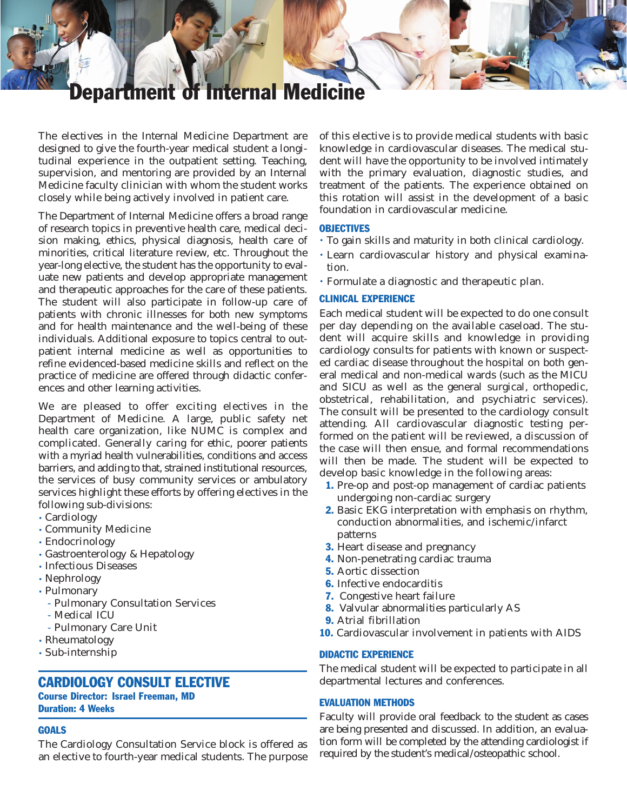# epartment of Internal Medicin

The electives in the Internal Medicine Department are designed to give the fourth-year medical student a longitudinal experience in the outpatient setting. Teaching, supervision, and mentoring are provided by an Internal Medicine faculty clinician with whom the student works closely while being actively involved in patient care.

The Department of Internal Medicine offers a broad range of research topics in preventive health care, medical decision making, ethics, physical diagnosis, health care of minorities, critical literature review, etc. Throughout the year-long elective, the student has the opportunity to evaluate new patients and develop appropriate management and therapeutic approaches for the care of these patients. The student will also participate in follow-up care of patients with chronic illnesses for both new symptoms and for health maintenance and the well-being of these individuals. Additional exposure to topics central to outpatient internal medicine as well as opportunities to refine evidenced-based medicine skills and reflect on the practice of medicine are offered through didactic conferences and other learning activities.

We are pleased to offer exciting electives in the Department of Medicine. A large, public safety net health care organization, like NUMC is complex and complicated. Generally caring for ethic, poorer patients with a myriad health vulnerabilities, conditions and access barriers, and adding to that, strained institutional resources, the services of busy community services or ambulatory services highlight these efforts by offering electives in the following sub-divisions:

- Cardiology
- Community Medicine
- Endocrinology
- Gastroenterology & Hepatology
- Infectious Diseases
- Nephrology
- Pulmonary
	- Pulmonary Consultation Services
	- Medical ICU
	- Pulmonary Care Unit
- Rheumatology
- Sub-internship

# CARDIOLOGY CONSULT ELECTIVE

Course Director: Israel Freeman, MD Duration: 4 Weeks

# **GOALS**

The Cardiology Consultation Service block is offered as an elective to fourth-year medical students. The purpose of this elective is to provide medical students with basic knowledge in cardiovascular diseases. The medical student will have the opportunity to be involved intimately with the primary evaluation, diagnostic studies, and treatment of the patients. The experience obtained on this rotation will assist in the development of a basic foundation in cardiovascular medicine.

#### **OBJECTIVES**

- To gain skills and maturity in both clinical cardiology.
- Learn cardiovascular history and physical examination.
- Formulate a diagnostic and therapeutic plan.

# CLINICAL EXPERIENCE

Each medical student will be expected to do one consult per day depending on the available caseload. The student will acquire skills and knowledge in providing cardiology consults for patients with known or suspected cardiac disease throughout the hospital on both general medical and non-medical wards (such as the MICU and SICU as well as the general surgical, orthopedic, obstetrical, rehabilitation, and psychiatric services). The consult will be presented to the cardiology consult attending. All cardiovascular diagnostic testing performed on the patient will be reviewed, a discussion of the case will then ensue, and formal recommendations will then be made. The student will be expected to develop basic knowledge in the following areas:

- 1. Pre-op and post-op management of cardiac patients undergoing non-cardiac surgery
- 2. Basic EKG interpretation with emphasis on rhythm, conduction abnormalities, and ischemic/infarct patterns
- **3.** Heart disease and pregnancy
- 4. Non-penetrating cardiac trauma
- 5. Aortic dissection
- 6. Infective endocarditis
- 7. Congestive heart failure
- 8. Valvular abnormalities particularly AS
- 9. Atrial fibrillation
- 10. Cardiovascular involvement in patients with AIDS

#### DIDACTIC EXPERIENCE

The medical student will be expected to participate in all departmental lectures and conferences.

#### EVALUATION METHODS

Faculty will provide oral feedback to the student as cases are being presented and discussed. In addition, an evaluation form will be completed by the attending cardiologist if required by the student's medical/osteopathic school.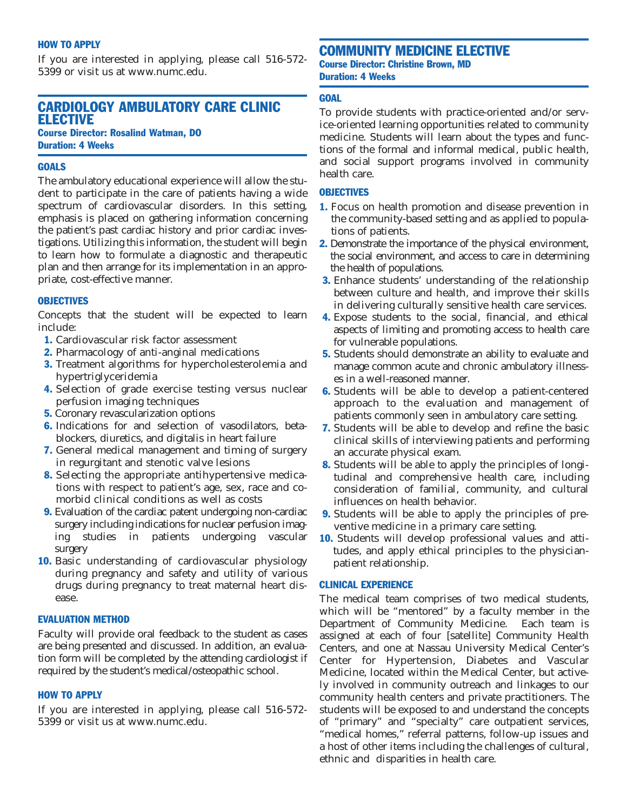#### HOW TO APPLY

If you are interested in applying, please call 516-572- 5399 or visit us at www.numc.edu.

# CARDIOLOGY AMBULATORY CARE CLINIC ELECTIVE

Course Director: Rosalind Watman, DO Duration: 4 Weeks

# **GOALS**

The ambulatory educational experience will allow the student to participate in the care of patients having a wide spectrum of cardiovascular disorders. In this setting, emphasis is placed on gathering information concerning the patient's past cardiac history and prior cardiac investigations. Utilizing this information, the student will begin to learn how to formulate a diagnostic and therapeutic plan and then arrange for its implementation in an appropriate, cost-effective manner.

#### **OBJECTIVES**

Concepts that the student will be expected to learn include:

- 1. Cardiovascular risk factor assessment
- 2. Pharmacology of anti-anginal medications
- 3. Treatment algorithms for hypercholesterolemia and hypertriglyceridemia
- 4. Selection of grade exercise testing versus nuclear perfusion imaging techniques
- 5. Coronary revascularization options
- 6. Indications for and selection of vasodilators, betablockers, diuretics, and digitalis in heart failure
- 7. General medical management and timing of surgery in regurgitant and stenotic valve lesions
- 8. Selecting the appropriate antihypertensive medications with respect to patient's age, sex, race and comorbid clinical conditions as well as costs
- 9. Evaluation of the cardiac patent undergoing non-cardiac surgery including indications for nuclear perfusion imaging studies in patients undergoing vascular surgery
- 10. Basic understanding of cardiovascular physiology during pregnancy and safety and utility of various drugs during pregnancy to treat maternal heart disease.

#### EVALUATION METHOD

Faculty will provide oral feedback to the student as cases are being presented and discussed. In addition, an evaluation form will be completed by the attending cardiologist if required by the student's medical/osteopathic school.

#### HOW TO APPLY

If you are interested in applying, please call 516-572- 5399 or visit us at www.numc.edu.

# COMMUNITY MEDICINE ELECTIVE

Course Director: Christine Brown, MD Duration: 4 Weeks

# **GOAL**

To provide students with practice-oriented and/or service-oriented learning opportunities related to community medicine. Students will learn about the types and functions of the formal and informal medical, public health, and social support programs involved in community health care.

# **OBJECTIVES**

- 1. Focus on health promotion and disease prevention in the community-based setting and as applied to populations of patients.
- 2. Demonstrate the importance of the physical environment, the social environment, and access to care in determining the health of populations.
- 3. Enhance students' understanding of the relationship between culture and health, and improve their skills in delivering culturally sensitive health care services.
- 4. Expose students to the social, financial, and ethical aspects of limiting and promoting access to health care for vulnerable populations.
- 5. Students should demonstrate an ability to evaluate and manage common acute and chronic ambulatory illnesses in a well-reasoned manner.
- 6. Students will be able to develop a patient-centered approach to the evaluation and management of patients commonly seen in ambulatory care setting.
- 7. Students will be able to develop and refine the basic clinical skills of interviewing patients and performing an accurate physical exam.
- 8. Students will be able to apply the principles of longitudinal and comprehensive health care, including consideration of familial, community, and cultural influences on health behavior.
- 9. Students will be able to apply the principles of preventive medicine in a primary care setting.
- 10. Students will develop professional values and attitudes, and apply ethical principles to the physicianpatient relationship.

#### CLINICAL EXPERIENCE

The medical team comprises of two medical students, which will be "mentored" by a faculty member in the Department of Community Medicine. Each team is assigned at each of four [satellite] Community Health Centers, and one at Nassau University Medical Center's Center for Hypertension, Diabetes and Vascular Medicine, located within the Medical Center, but actively involved in community outreach and linkages to our community health centers and private practitioners. The students will be exposed to and understand the concepts of "primary" and "specialty" care outpatient services, "medical homes," referral patterns, follow-up issues and a host of other items including the challenges of cultural, ethnic and disparities in health care.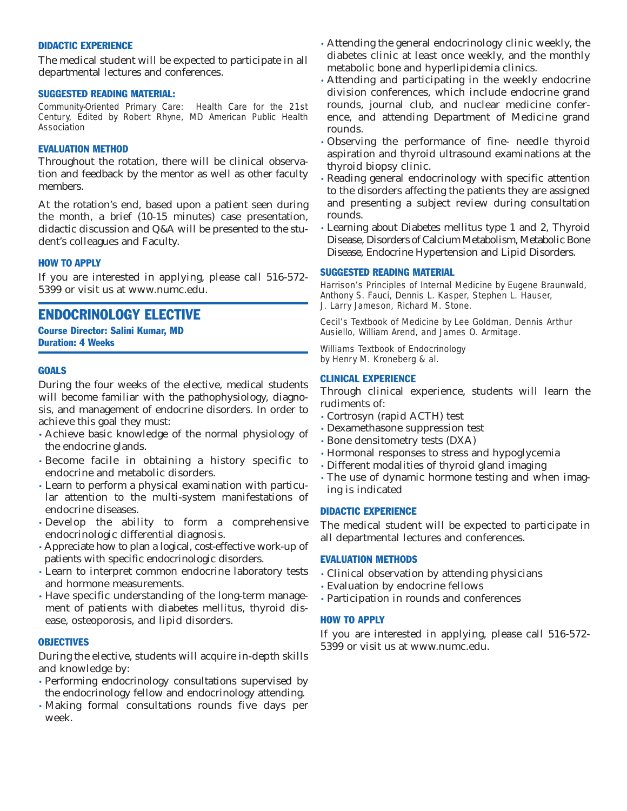#### DIDACTIC EXPERIENCE

The medical student will be expected to participate in all departmental lectures and conferences.

#### SUGGESTED READING MATERIAL:

*Community-Oriented Primary Care: Health Care for the 21st Century,* Edited by Robert Rhyne, MD American Public Health Association

# EVALUATION METHOD

Throughout the rotation, there will be clinical observation and feedback by the mentor as well as other faculty members.

At the rotation's end, based upon a patient seen during the month, a brief (10-15 minutes) case presentation, didactic discussion and Q&A will be presented to the student's colleagues and Faculty.

# HOW TO APPLY

If you are interested in applying, please call 516-572- 5399 or visit us at www.numc.edu.

# ENDOCRINOLOGY ELECTIVE

Course Director: Salini Kumar, MD Duration: 4 Weeks

# **GOALS**

During the four weeks of the elective, medical students will become familiar with the pathophysiology, diagnosis, and management of endocrine disorders. In order to achieve this goal they must:

- Achieve basic knowledge of the normal physiology of the endocrine glands.
- Become facile in obtaining a history specific to endocrine and metabolic disorders.
- Learn to perform a physical examination with particular attention to the multi-system manifestations of endocrine diseases.
- Develop the ability to form a comprehensive endocrinologic differential diagnosis.
- Appreciate how to plan a logical, cost-effective work-up of patients with specific endocrinologic disorders.
- Learn to interpret common endocrine laboratory tests and hormone measurements.
- Have specific understanding of the long-term management of patients with diabetes mellitus, thyroid disease, osteoporosis, and lipid disorders.

# **OBJECTIVES**

During the elective, students will acquire in-depth skills and knowledge by:

- Performing endocrinology consultations supervised by the endocrinology fellow and endocrinology attending.
- Making formal consultations rounds five days per week.
- Attending the general endocrinology clinic weekly, the diabetes clinic at least once weekly, and the monthly metabolic bone and hyperlipidemia clinics.
- Attending and participating in the weekly endocrine division conferences, which include endocrine grand rounds, journal club, and nuclear medicine conference, and attending Department of Medicine grand rounds.
- Observing the performance of fine- needle thyroid aspiration and thyroid ultrasound examinations at the thyroid biopsy clinic.
- Reading general endocrinology with specific attention to the disorders affecting the patients they are assigned and presenting a subject review during consultation rounds.
- Learning about Diabetes mellitus type 1 and 2, Thyroid Disease, Disorders of Calcium Metabolism, Metabolic Bone Disease, Endocrine Hypertension and Lipid Disorders.

#### SUGGESTED READING MATERIAL

*Harrison's Principles of Internal Medicine* by Eugene Braunwald, Anthony S. Fauci, Dennis L. Kasper, Stephen L. Hauser, J. Larry Jameson, Richard M. Stone.

*Cecil's Textbook of Medicine* by Lee Goldman, Dennis Arthur Ausiello, William Arend, and James O. Armitage.

*Williams Textbook of Endocrinology*  by Henry M. Kroneberg & al.

# CLINICAL EXPERIENCE

Through clinical experience, students will learn the rudiments of:

- Cortrosyn (rapid ACTH) test
- Dexamethasone suppression test
- Bone densitometry tests (DXA)
- Hormonal responses to stress and hypoglycemia
- Different modalities of thyroid gland imaging
- The use of dynamic hormone testing and when imaging is indicated

#### DIDACTIC EXPERIENCE

The medical student will be expected to participate in all departmental lectures and conferences.

# EVALUATION METHODS

- Clinical observation by attending physicians
- Evaluation by endocrine fellows
- Participation in rounds and conferences

# HOW TO APPLY

If you are interested in applying, please call 516-572- 5399 or visit us at www.numc.edu.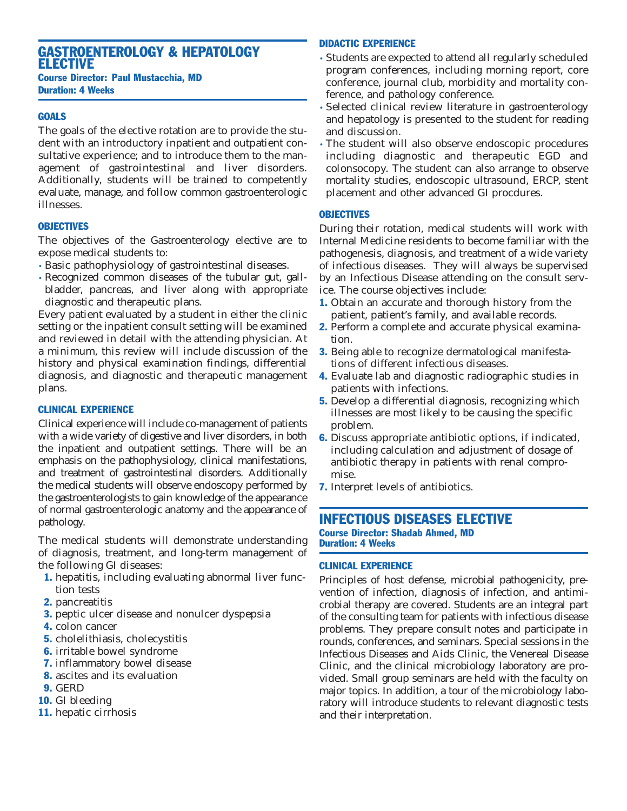# GASTROENTEROLOGY & HEPATOLOGY ELECTIVE Course Director: Paul Mustacchia, MD

Duration: 4 Weeks

# **GOALS**

The goals of the elective rotation are to provide the student with an introductory inpatient and outpatient consultative experience; and to introduce them to the management of gastrointestinal and liver disorders. Additionally, students will be trained to competently evaluate, manage, and follow common gastroenterologic illnesses.

# **OBJECTIVES**

The objectives of the Gastroenterology elective are to expose medical students to:

- Basic pathophysiology of gastrointestinal diseases.
- Recognized common diseases of the tubular gut, gallbladder, pancreas, and liver along with appropriate diagnostic and therapeutic plans.

Every patient evaluated by a student in either the clinic setting or the inpatient consult setting will be examined and reviewed in detail with the attending physician. At a minimum, this review will include discussion of the history and physical examination findings, differential diagnosis, and diagnostic and therapeutic management plans.

# CLINICAL EXPERIENCE

Clinical experience will include co-management of patients with a wide variety of digestive and liver disorders, in both the inpatient and outpatient settings. There will be an emphasis on the pathophysiology, clinical manifestations, and treatment of gastrointestinal disorders. Additionally the medical students will observe endoscopy performed by the gastroenterologists to gain knowledge of the appearance of normal gastroenterologic anatomy and the appearance of pathology.

The medical students will demonstrate understanding of diagnosis, treatment, and long-term management of the following GI diseases:

- 1. hepatitis, including evaluating abnormal liver function tests
- 2. pancreatitis
- **3.** peptic ulcer disease and nonulcer dyspepsia
- 4. colon cancer
- 5. cholelithiasis, cholecystitis
- 6. irritable bowel syndrome
- 7. inflammatory bowel disease
- 8. ascites and its evaluation
- 9. GERD
- 10. GI bleeding
- 11. hepatic cirrhosis

# DIDACTIC EXPERIENCE

- Students are expected to attend all regularly scheduled program conferences, including morning report, core conference, journal club, morbidity and mortality conference, and pathology conference.
- Selected clinical review literature in gastroenterology and hepatology is presented to the student for reading and discussion.
- The student will also observe endoscopic procedures including diagnostic and therapeutic EGD and colonsocopy. The student can also arrange to observe mortality studies, endoscopic ultrasound, ERCP, stent placement and other advanced GI procdures.

# **OBJECTIVES**

During their rotation, medical students will work with Internal Medicine residents to become familiar with the pathogenesis, diagnosis, and treatment of a wide variety of infectious diseases. They will always be supervised by an Infectious Disease attending on the consult service. The course objectives include:

- 1. Obtain an accurate and thorough history from the patient, patient's family, and available records.
- 2. Perform a complete and accurate physical examination.
- 3. Being able to recognize dermatological manifestations of different infectious diseases.
- 4. Evaluate lab and diagnostic radiographic studies in patients with infections.
- 5. Develop a differential diagnosis, recognizing which illnesses are most likely to be causing the specific problem.
- 6. Discuss appropriate antibiotic options, if indicated, including calculation and adjustment of dosage of antibiotic therapy in patients with renal compromise.
- 7. Interpret levels of antibiotics.

# INFECTIOUS DISEASES ELECTIVE Course Director: Shadab Ahmed, MD Duration: 4 Weeks

# CLINICAL EXPERIENCE

Principles of host defense, microbial pathogenicity, prevention of infection, diagnosis of infection, and antimicrobial therapy are covered. Students are an integral part of the consulting team for patients with infectious disease problems. They prepare consult notes and participate in rounds, conferences, and seminars. Special sessions in the Infectious Diseases and Aids Clinic, the Venereal Disease Clinic, and the clinical microbiology laboratory are provided. Small group seminars are held with the faculty on major topics. In addition, a tour of the microbiology laboratory will introduce students to relevant diagnostic tests and their interpretation.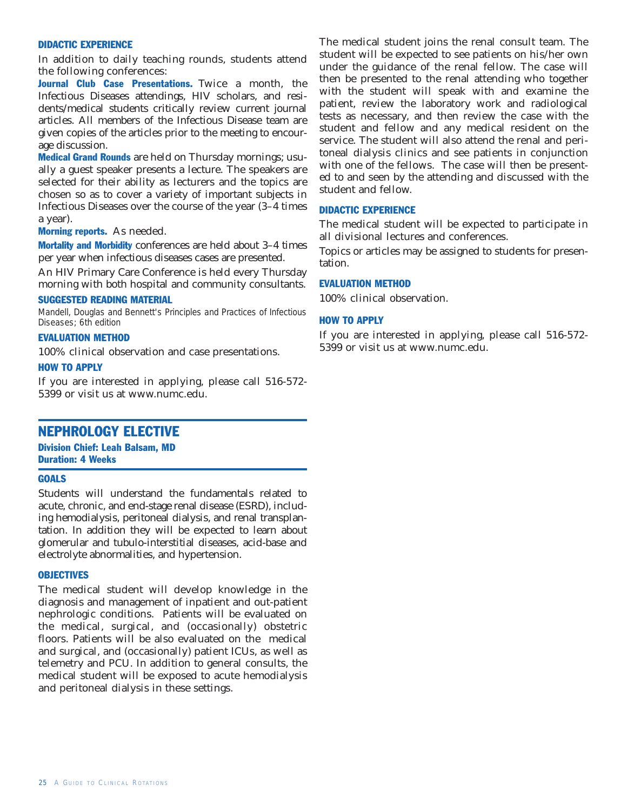# DIDACTIC EXPERIENCE

In addition to daily teaching rounds, students attend the following conferences:

Journal Club Case Presentations. Twice a month, the Infectious Diseases attendings, HIV scholars, and residents/medical students critically review current journal articles. All members of the Infectious Disease team are given copies of the articles prior to the meeting to encourage discussion.

Medical Grand Rounds are held on Thursday mornings; usually a guest speaker presents a lecture. The speakers are selected for their ability as lecturers and the topics are chosen so as to cover a variety of important subjects in Infectious Diseases over the course of the year (3–4 times a year).

#### Morning reports. As needed.

Mortality and Morbidity conferences are held about 3–4 times per year when infectious diseases cases are presented.

An HIV Primary Care Conference is held every Thursday morning with both hospital and community consultants.

#### SUGGESTED READING MATERIAL

Mandell, Douglas and Bennett's *Principles and Practices of Infectious Diseases; 6th edition*

# EVALUATION METHOD

100% clinical observation and case presentations.

#### HOW TO APPLY

If you are interested in applying, please call 516-572- 5399 or visit us at www.numc.edu.

# NEPHROLOGY ELECTIVE

Division Chief: Leah Balsam, MD Duration: 4 Weeks

#### **GOALS**

Students will understand the fundamentals related to acute, chronic, and end-stage renal disease (ESRD), including hemodialysis, peritoneal dialysis, and renal transplantation. In addition they will be expected to learn about glomerular and tubulo-interstitial diseases, acid-base and electrolyte abnormalities, and hypertension.

#### **OBJECTIVES**

The medical student will develop knowledge in the diagnosis and management of inpatient and out-patient nephrologic conditions. Patients will be evaluated on the medical, surgical, and (occasionally) obstetric floors. Patients will be also evaluated on the medical and surgical, and (occasionally) patient ICUs, as well as telemetry and PCU. In addition to general consults, the medical student will be exposed to acute hemodialysis and peritoneal dialysis in these settings.

The medical student joins the renal consult team. The student will be expected to see patients on his/her own under the guidance of the renal fellow. The case will then be presented to the renal attending who together with the student will speak with and examine the patient, review the laboratory work and radiological tests as necessary, and then review the case with the student and fellow and any medical resident on the service. The student will also attend the renal and peritoneal dialysis clinics and see patients in conjunction with one of the fellows. The case will then be presented to and seen by the attending and discussed with the student and fellow.

#### DIDACTIC EXPERIENCE

The medical student will be expected to participate in all divisional lectures and conferences.

Topics or articles may be assigned to students for presentation.

#### EVALUATION METHOD

100% clinical observation.

#### HOW TO APPLY

If you are interested in applying, please call 516-572- 5399 or visit us at www.numc.edu.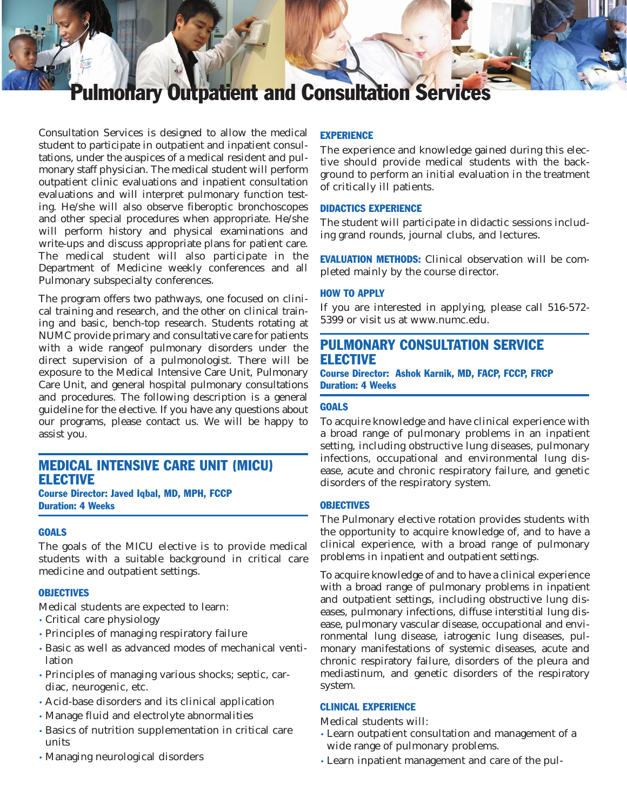# **monary Outpatient and Consultation Services**

Consultation Services is designed to allow the medical student to participate in outpatient and inpatient consultations, under the auspices of a medical resident and pulmonary staff physician. The medical student will perform outpatient clinic evaluations and inpatient consultation evaluations and will interpret pulmonary function testing. He/she will also observe fiberoptic bronchoscopes and other special procedures when appropriate. He/she will perform history and physical examinations and write-ups and discuss appropriate plans for patient care. The medical student will also participate in the Department of Medicine weekly conferences and all Pulmonary subspecialty conferences.

The program offers two pathways, one focused on clinical training and research, and the other on clinical training and basic, bench-top research. Students rotating at NUMC provide primary and consultative care for patients with a wide rangeof pulmonary disorders under the direct supervision of a pulmonologist. There will be exposure to the Medical Intensive Care Unit, Pulmonary Care Unit, and general hospital pulmonary consultations and procedures. The following description is a general guideline for the elective. If you have any questions about our programs, please contact us. We will be happy to assist you.

# MEDICAL INTENSIVE CARE UNIT (MICU) ELECTIVE

# Course Director: Javed Iqbal, MD, MPH, FCCP Duration: 4 Weeks

#### **GOALS**

The goals of the MICU elective is to provide medical students with a suitable background in critical care medicine and outpatient settings.

#### **OBJECTIVES**

Medical students are expected to learn:

- Critical care physiology
- Principles of managing respiratory failure
- Basic as well as advanced modes of mechanical ventilation
- Principles of managing various shocks; septic, cardiac, neurogenic, etc.
- Acid-base disorders and its clinical application
- Manage fluid and electrolyte abnormalities
- Basics of nutrition supplementation in critical care units
- Managing neurological disorders

# **EXPERIENCE**

The experience and knowledge gained during this elective should provide medical students with the background to perform an initial evaluation in the treatment of critically ill patients.

#### DIDACTICS EXPERIENCE

The student will participate in didactic sessions including grand rounds, journal clubs, and lectures.

EVALUATION METHODS: Clinical observation will be completed mainly by the course director.

# HOW TO APPLY

If you are interested in applying, please call 516-572- 5399 or visit us at www.numc.edu.

# PULMONARY CONSULTATION SERVICE ELECTIVE

Course Director: Ashok Karnik, MD, FACP, FCCP, FRCP Duration: 4 Weeks

### **GOALS**

To acquire knowledge and have clinical experience with a broad range of pulmonary problems in an inpatient setting, including obstructive lung diseases, pulmonary infections, occupational and environmental lung disease, acute and chronic respiratory failure, and genetic disorders of the respiratory system.

#### **OBJECTIVES**

The Pulmonary elective rotation provides students with the opportunity to acquire knowledge of, and to have a clinical experience, with a broad range of pulmonary problems in inpatient and outpatient settings.

To acquire knowledge of and to have a clinical experience with a broad range of pulmonary problems in inpatient and outpatient settings, including obstructive lung diseases, pulmonary infections, diffuse interstitial lung disease, pulmonary vascular disease, occupational and environmental lung disease, iatrogenic lung diseases, pulmonary manifestations of systemic diseases, acute and chronic respiratory failure, disorders of the pleura and mediastinum, and genetic disorders of the respiratory system.

#### CLINICAL EXPERIENCE

Medical students will:

- Learn outpatient consultation and management of a wide range of pulmonary problems.
- Learn inpatient management and care of the pul-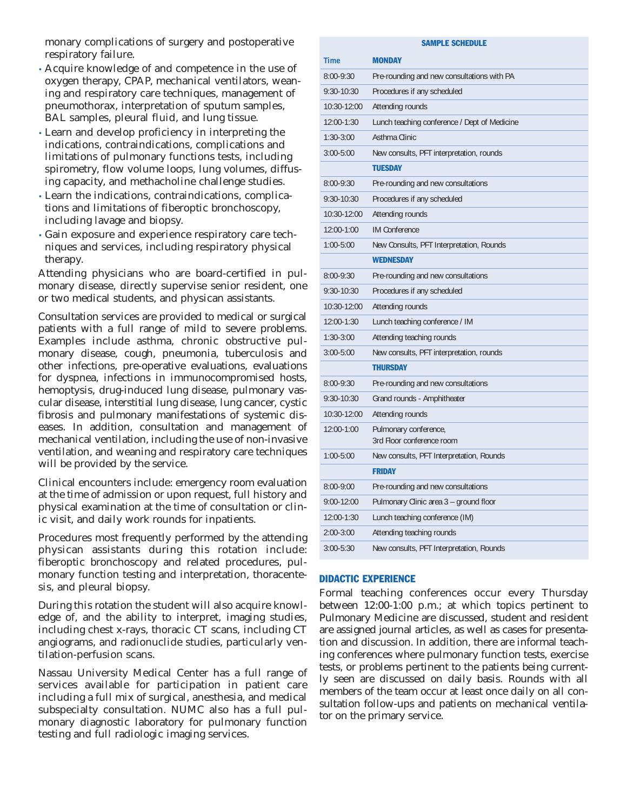monary complications of surgery and postoperative respiratory failure.

- Acquire knowledge of and competence in the use of oxygen therapy, CPAP, mechanical ventilators, weaning and respiratory care techniques, management of pneumothorax, interpretation of sputum samples, BAL samples, pleural fluid, and lung tissue.
- Learn and develop proficiency in interpreting the indications, contraindications, complications and limitations of pulmonary functions tests, including spirometry, flow volume loops, lung volumes, diffusing capacity, and methacholine challenge studies.
- Learn the indications, contraindications, complications and limitations of fiberoptic bronchoscopy, including lavage and biopsy.
- Gain exposure and experience respiratory care techniques and services, including respiratory physical therapy.

Attending physicians who are board-certified in pulmonary disease, directly supervise senior resident, one or two medical students, and physican assistants.

Consultation services are provided to medical or surgical patients with a full range of mild to severe problems. Examples include asthma, chronic obstructive pulmonary disease, cough, pneumonia, tuberculosis and other infections, pre-operative evaluations, evaluations for dyspnea, infections in immunocompromised hosts, hemoptysis, drug-induced lung disease, pulmonary vascular disease, interstitial lung disease, lung cancer, cystic fibrosis and pulmonary manifestations of systemic diseases. In addition, consultation and management of mechanical ventilation, including the use of non-invasive ventilation, and weaning and respiratory care techniques will be provided by the service.

Clinical encounters include: emergency room evaluation at the time of admission or upon request, full history and physical examination at the time of consultation or clinic visit, and daily work rounds for inpatients.

Procedures most frequently performed by the attending physican assistants during this rotation include: fiberoptic bronchoscopy and related procedures, pulmonary function testing and interpretation, thoracentesis, and pleural biopsy.

During this rotation the student will also acquire knowledge of, and the ability to interpret, imaging studies, including chest x-rays, thoracic CT scans, including CT angiograms, and radionuclide studies, particularly ventilation-perfusion scans.

Nassau University Medical Center has a full range of services available for participation in patient care including a full mix of surgical, anesthesia, and medical subspecialty consultation. NUMC also has a full pulmonary diagnostic laboratory for pulmonary function testing and full radiologic imaging services.

| <b>SAMPLE SCHEDULE</b> |                                                    |
|------------------------|----------------------------------------------------|
| <b>Time</b>            | <b>MONDAY</b>                                      |
| 8:00-9:30              | Pre-rounding and new consultations with PA         |
| 9:30-10:30             | Procedures if any scheduled                        |
| 10:30-12:00            | Attending rounds                                   |
| 12:00-1:30             | Lunch teaching conference / Dept of Medicine       |
| $1:30-3:00$            | Asthma Clinic                                      |
| $3:00 - 5:00$          | New consults, PFT interpretation, rounds           |
|                        | <b>TUESDAY</b>                                     |
| $8:00 - 9:30$          | Pre-rounding and new consultations                 |
| 9:30-10:30             | Procedures if any scheduled                        |
| 10:30-12:00            | Attending rounds                                   |
| 12:00-1:00             | <b>IM Conference</b>                               |
| 1:00-5:00              | New Consults, PFT Interpretation, Rounds           |
|                        | <b>WEDNESDAY</b>                                   |
| $8:00 - 9:30$          | Pre-rounding and new consultations                 |
| $9:30 - 10:30$         | Procedures if any scheduled                        |
| $10:30-12:00$          | Attending rounds                                   |
| 12:00-1:30             | Lunch teaching conference / IM                     |
| $1:30-3:00$            | Attending teaching rounds                          |
| $3:00 - 5:00$          | New consults, PFT interpretation, rounds           |
|                        | <b>THURSDAY</b>                                    |
| $8:00 - 9:30$          | Pre-rounding and new consultations                 |
| 9:30-10:30             | Grand rounds - Amphitheater                        |
| 10:30-12:00            | Attending rounds                                   |
| 12:00-1:00             | Pulmonary conference,<br>3rd Floor conference room |
| 1:00-5:00              | New consults, PFT Interpretation, Rounds           |
|                        | <b>FRIDAY</b>                                      |
| 8:00-9:00              | Pre-rounding and new consultations                 |
| 9:00-12:00             | Pulmonary Clinic area 3 - ground floor             |
| 12:00-1:30             | Lunch teaching conference (IM)                     |
| $2:00 - 3:00$          | Attending teaching rounds                          |
| $3:00 - 5:30$          | New consults, PFT Interpretation, Rounds           |

#### DIDACTIC EXPERIENCE

Formal teaching conferences occur every Thursday between 12:00-1:00 p.m.; at which topics pertinent to Pulmonary Medicine are discussed, student and resident are assigned journal articles, as well as cases for presentation and discussion. In addition, there are informal teaching conferences where pulmonary function tests, exercise tests, or problems pertinent to the patients being currently seen are discussed on daily basis. Rounds with all members of the team occur at least once daily on all consultation follow-ups and patients on mechanical ventilator on the primary service.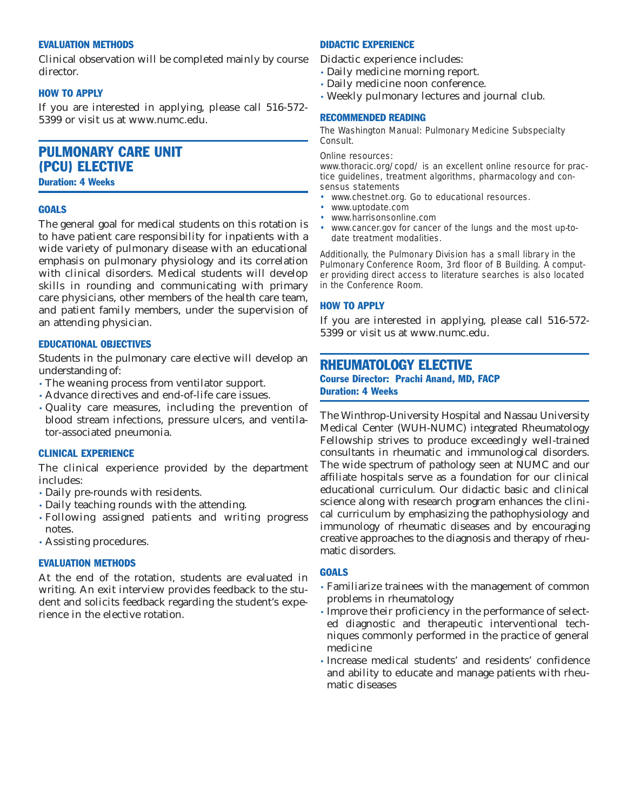#### EVALUATION METHODS

Clinical observation will be completed mainly by course director.

#### HOW TO APPLY

If you are interested in applying, please call 516-572- 5399 or visit us at www.numc.edu.

# PULMONARY CARE UNIT (PCU) ELECTIVE

Duration: 4 Weeks

#### **GOALS**

The general goal for medical students on this rotation is to have patient care responsibility for inpatients with a wide variety of pulmonary disease with an educational emphasis on pulmonary physiology and its correlation with clinical disorders. Medical students will develop skills in rounding and communicating with primary care physicians, other members of the health care team, and patient family members, under the supervision of an attending physician.

#### EDUCATIONAL OBJECTIVES

Students in the pulmonary care elective will develop an understanding of:

- The weaning process from ventilator support.
- Advance directives and end-of-life care issues.
- Quality care measures, including the prevention of blood stream infections, pressure ulcers, and ventilator-associated pneumonia.

#### CLINICAL EXPERIENCE

The clinical experience provided by the department includes:

- Daily pre-rounds with residents.
- Daily teaching rounds with the attending.
- Following assigned patients and writing progress notes.
- Assisting procedures.

# EVALUATION METHODS

At the end of the rotation, students are evaluated in writing. An exit interview provides feedback to the student and solicits feedback regarding the student's experience in the elective rotation.

#### DIDACTIC EXPERIENCE

Didactic experience includes:

- Daily medicine morning report.
- Daily medicine noon conference.
- Weekly pulmonary lectures and journal club.

#### RECOMMENDED READING

*The Washington Manual: Pulmonary Medicine Subspecialty Consult.*

#### Online resources:

www.thoracic.org/copd/ is an excellent online resource for practice guidelines, treatment algorithms, pharmacology and consensus statements

- www.chestnet.org. Go to educational resources.
- www.uptodate.com
- www.harrisonsonline.com
- www.cancer.gov for cancer of the lungs and the most up-todate treatment modalities.

Additionally, the Pulmonary Division has a small library in the Pulmonary Conference Room, 3rd floor of B Building. A computer providing direct access to literature searches is also located in the Conference Room.

#### HOW TO APPLY

If you are interested in applying, please call 516-572- 5399 or visit us at www.numc.edu.

# RHEUMATOLOGY ELECTIVE

#### Course Director: Prachi Anand, MD, FACP Duration: 4 Weeks

The Winthrop-University Hospital and Nassau University Medical Center (WUH-NUMC) integrated Rheumatology Fellowship strives to produce exceedingly well-trained consultants in rheumatic and immunological disorders. The wide spectrum of pathology seen at NUMC and our affiliate hospitals serve as a foundation for our clinical educational curriculum. Our didactic basic and clinical science along with research program enhances the clinical curriculum by emphasizing the pathophysiology and immunology of rheumatic diseases and by encouraging creative approaches to the diagnosis and therapy of rheumatic disorders.

# **GOALS**

- Familiarize trainees with the management of common problems in rheumatology
- Improve their proficiency in the performance of selected diagnostic and therapeutic interventional techniques commonly performed in the practice of general medicine
- Increase medical students' and residents' confidence and ability to educate and manage patients with rheumatic diseases